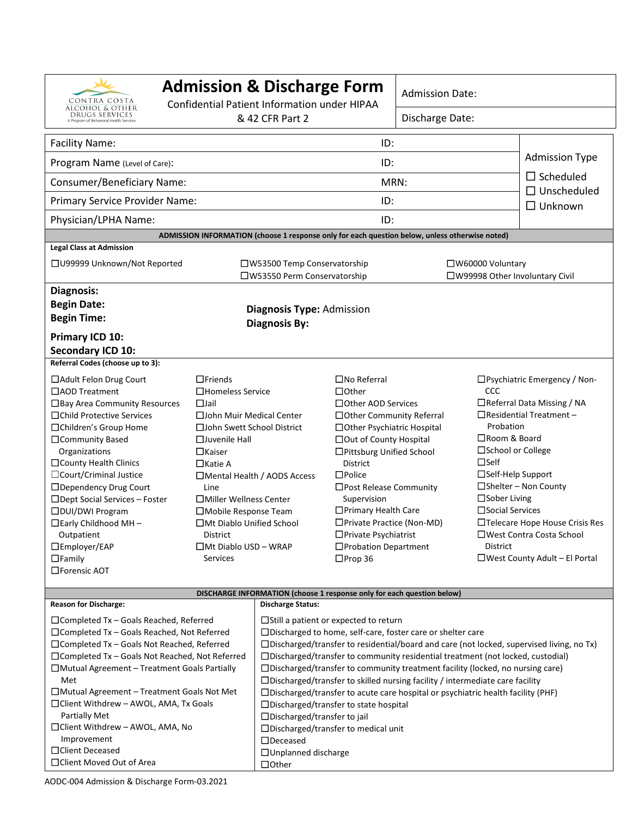| CONTRA COSTA                                                                                              | <b>Admission &amp; Discharge Form</b><br>Confidential Patient Information under HIPAA<br>& 42 CFR Part 2 |                                                                                                                                                                          | <b>Admission Date:</b>                                       |                            |                                        |                                                                      |  |
|-----------------------------------------------------------------------------------------------------------|----------------------------------------------------------------------------------------------------------|--------------------------------------------------------------------------------------------------------------------------------------------------------------------------|--------------------------------------------------------------|----------------------------|----------------------------------------|----------------------------------------------------------------------|--|
| ALCOHOL & OTHER<br>DRUGS SERVICES<br>A Program of Behavioral Health Services                              |                                                                                                          |                                                                                                                                                                          |                                                              | Discharge Date:            |                                        |                                                                      |  |
| <b>Facility Name:</b>                                                                                     |                                                                                                          |                                                                                                                                                                          | ID:                                                          |                            |                                        |                                                                      |  |
| Program Name (Level of Care):                                                                             |                                                                                                          | ID:                                                                                                                                                                      |                                                              |                            |                                        | <b>Admission Type</b>                                                |  |
| Consumer/Beneficiary Name:                                                                                |                                                                                                          | MRN:                                                                                                                                                                     |                                                              |                            | $\Box$ Scheduled<br>$\Box$ Unscheduled |                                                                      |  |
| Primary Service Provider Name:                                                                            |                                                                                                          | ID:                                                                                                                                                                      |                                                              |                            |                                        | $\Box$ Unknown                                                       |  |
| Physician/LPHA Name:                                                                                      |                                                                                                          | ID:                                                                                                                                                                      |                                                              |                            |                                        |                                                                      |  |
|                                                                                                           | ADMISSION INFORMATION (choose 1 response only for each question below, unless otherwise noted)           |                                                                                                                                                                          |                                                              |                            |                                        |                                                                      |  |
| <b>Legal Class at Admission</b>                                                                           |                                                                                                          |                                                                                                                                                                          |                                                              |                            |                                        |                                                                      |  |
|                                                                                                           | □ U99999 Unknown/Not Reported                                                                            |                                                                                                                                                                          | □W53500 Temp Conservatorship<br>□W53550 Perm Conservatorship |                            |                                        | □W60000 Voluntary<br>□W99998 Other Involuntary Civil                 |  |
| Diagnosis:                                                                                                |                                                                                                          |                                                                                                                                                                          |                                                              |                            |                                        |                                                                      |  |
| <b>Begin Date:</b>                                                                                        |                                                                                                          |                                                                                                                                                                          |                                                              |                            |                                        |                                                                      |  |
| <b>Begin Time:</b>                                                                                        | Diagnosis Type: Admission<br><b>Diagnosis By:</b>                                                        |                                                                                                                                                                          |                                                              |                            |                                        |                                                                      |  |
| Primary ICD 10:                                                                                           |                                                                                                          |                                                                                                                                                                          |                                                              |                            |                                        |                                                                      |  |
| Secondary ICD 10:                                                                                         |                                                                                                          |                                                                                                                                                                          |                                                              |                            |                                        |                                                                      |  |
| Referral Codes (choose up to 3):                                                                          |                                                                                                          |                                                                                                                                                                          |                                                              |                            |                                        |                                                                      |  |
|                                                                                                           | $\Box$ Friends<br>□ Adult Felon Drug Court                                                               |                                                                                                                                                                          | $\square$ No Referral                                        |                            |                                        | □ Psychiatric Emergency / Non-<br>CCC<br>□Referral Data Missing / NA |  |
|                                                                                                           | □AOD Treatment<br>□Homeless Service                                                                      |                                                                                                                                                                          | $\Box$ Other                                                 |                            |                                        |                                                                      |  |
| $\Box$ Jail<br>□ Bay Area Community Resources<br>□Child Protective Services<br>□ John Muir Medical Center |                                                                                                          | □ Other AOD Services                                                                                                                                                     |                                                              | □ Other Community Referral |                                        | $\Box$ Residential Treatment -                                       |  |
| □Children's Group Home<br>□ John Swett School District                                                    |                                                                                                          | □ Other Psychiatric Hospital                                                                                                                                             |                                                              |                            | Probation                              |                                                                      |  |
| □Community Based                                                                                          | $\Box$ Juvenile Hall                                                                                     |                                                                                                                                                                          |                                                              | □ Out of County Hospital   |                                        | □Room & Board                                                        |  |
| Organizations                                                                                             | $\Box$ Kaiser                                                                                            | □Pittsburg Unified School                                                                                                                                                |                                                              |                            | □School or College                     |                                                                      |  |
| $\square$ County Health Clinics                                                                           | $\square$ Katie A                                                                                        | District                                                                                                                                                                 |                                                              | $\square$ Self             |                                        |                                                                      |  |
| □ Court/Criminal Justice                                                                                  | □ Mental Health / AODS Access                                                                            |                                                                                                                                                                          | $\square$ Police                                             |                            | □Self-Help Support                     |                                                                      |  |
|                                                                                                           | □Dependency Drug Court<br>Line                                                                           |                                                                                                                                                                          |                                                              | □Post Release Community    |                                        | $\square$ Shelter – Non County<br>$\square$ Sober Living             |  |
| □DUI/DWI Program                                                                                          | □Dept Social Services - Foster<br>□ Miller Wellness Center<br>□Mobile Response Team                      |                                                                                                                                                                          | Supervision<br>□ Primary Health Care                         |                            | $\square$ Social Services              |                                                                      |  |
| $\Box$ Early Childhood MH -                                                                               | $\Box$ Mt Diablo Unified School                                                                          |                                                                                                                                                                          | □ Private Practice (Non-MD)                                  |                            | $\Box$ Telecare Hope House Crisis Res  |                                                                      |  |
| Outpatient                                                                                                | <b>District</b>                                                                                          |                                                                                                                                                                          | $\Box$ Private Psychiatrist                                  |                            | □West Contra Costa School              |                                                                      |  |
| □Employer/EAP                                                                                             | $\Box$ Mt Diablo USD - WRAP                                                                              | □ Probation Department                                                                                                                                                   |                                                              |                            | District                               |                                                                      |  |
| $\Box$ Family                                                                                             | <b>Services</b>                                                                                          |                                                                                                                                                                          | $\Box$ Prop 36                                               |                            | $\Box$ West County Adult – El Portal   |                                                                      |  |
| □Forensic AOT                                                                                             |                                                                                                          |                                                                                                                                                                          |                                                              |                            |                                        |                                                                      |  |
|                                                                                                           |                                                                                                          | DISCHARGE INFORMATION (choose 1 response only for each question below)                                                                                                   |                                                              |                            |                                        |                                                                      |  |
| <b>Reason for Discharge:</b>                                                                              |                                                                                                          | <b>Discharge Status:</b>                                                                                                                                                 |                                                              |                            |                                        |                                                                      |  |
| $\Box$ Completed Tx - Goals Reached, Referred                                                             | $\Box$ Still a patient or expected to return                                                             |                                                                                                                                                                          |                                                              |                            |                                        |                                                                      |  |
| $\Box$ Completed Tx – Goals Reached, Not Referred                                                         |                                                                                                          | □Discharged to home, self-care, foster care or shelter care                                                                                                              |                                                              |                            |                                        |                                                                      |  |
| $\Box$ Completed Tx - Goals Not Reached, Referred                                                         |                                                                                                          | $\Box$ Discharged/transfer to residential/board and care (not locked, supervised living, no Tx)                                                                          |                                                              |                            |                                        |                                                                      |  |
| $\Box$ Completed Tx – Goals Not Reached, Not Referred                                                     |                                                                                                          | □Discharged/transfer to community residential treatment (not locked, custodial)                                                                                          |                                                              |                            |                                        |                                                                      |  |
| $\Box$ Mutual Agreement – Treatment Goals Partially<br>Met                                                |                                                                                                          | □Discharged/transfer to community treatment facility (locked, no nursing care)<br>$\square$ Discharged/transfer to skilled nursing facility / intermediate care facility |                                                              |                            |                                        |                                                                      |  |
| $\Box$ Mutual Agreement – Treatment Goals Not Met                                                         |                                                                                                          | $\square$ Discharged/transfer to acute care hospital or psychiatric health facility (PHF)                                                                                |                                                              |                            |                                        |                                                                      |  |
| $\Box$ Client Withdrew - AWOL, AMA, Tx Goals                                                              |                                                                                                          | $\Box$ Discharged/transfer to state hospital                                                                                                                             |                                                              |                            |                                        |                                                                      |  |
| Partially Met                                                                                             |                                                                                                          | □Discharged/transfer to jail                                                                                                                                             |                                                              |                            |                                        |                                                                      |  |
| □Client Withdrew - AWOL, AMA, No                                                                          |                                                                                                          | □Discharged/transfer to medical unit                                                                                                                                     |                                                              |                            |                                        |                                                                      |  |
| Improvement                                                                                               |                                                                                                          | $\Box$ Deceased                                                                                                                                                          |                                                              |                            |                                        |                                                                      |  |
| □ Client Deceased                                                                                         |                                                                                                          | □ Unplanned discharge                                                                                                                                                    |                                                              |                            |                                        |                                                                      |  |
| □ Client Moved Out of Area                                                                                |                                                                                                          | $\Box$ Other                                                                                                                                                             |                                                              |                            |                                        |                                                                      |  |

AODC-004 Admission & Discharge Form-03.2021